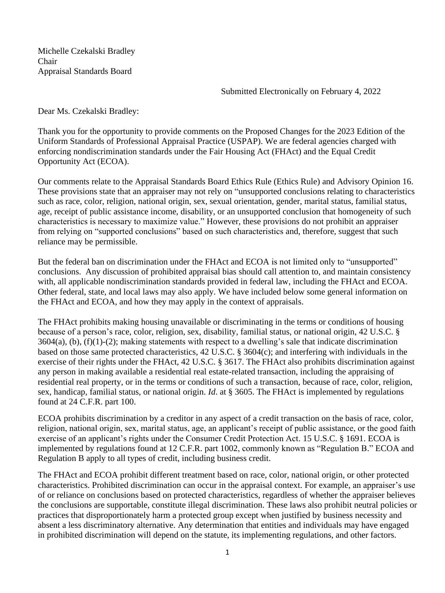Michelle Czekalski Bradley Chair Appraisal Standards Board

Submitted Electronically on February 4, 2022

Dear Ms. Czekalski Bradley:

Thank you for the opportunity to provide comments on the Proposed Changes for the 2023 Edition of the Uniform Standards of Professional Appraisal Practice (USPAP). We are federal agencies charged with enforcing nondiscrimination standards under the Fair Housing Act (FHAct) and the Equal Credit Opportunity Act (ECOA).

Our comments relate to the Appraisal Standards Board Ethics Rule (Ethics Rule) and Advisory Opinion 16. These provisions state that an appraiser may not rely on "unsupported conclusions relating to characteristics such as race, color, religion, national origin, sex, sexual orientation, gender, marital status, familial status, age, receipt of public assistance income, disability, or an unsupported conclusion that homogeneity of such characteristics is necessary to maximize value." However, these provisions do not prohibit an appraiser from relying on "supported conclusions" based on such characteristics and, therefore, suggest that such reliance may be permissible.

But the federal ban on discrimination under the FHAct and ECOA is not limited only to "unsupported" conclusions. Any discussion of prohibited appraisal bias should call attention to, and maintain consistency with, all applicable nondiscrimination standards provided in federal law, including the FHAct and ECOA. Other federal, state, and local laws may also apply. We have included below some general information on the FHAct and ECOA, and how they may apply in the context of appraisals.

The FHAct prohibits making housing unavailable or discriminating in the terms or conditions of housing because of a person's race, color, religion, sex, disability, familial status, or national origin, 42 U.S.C. § 3604(a), (b), (f)(1)-(2); making statements with respect to a dwelling's sale that indicate discrimination based on those same protected characteristics, 42 U.S.C. § 3604(c); and interfering with individuals in the exercise of their rights under the FHAct, 42 U.S.C. § 3617. The FHAct also prohibits discrimination against any person in making available a residential real estate-related transaction, including the appraising of residential real property, or in the terms or conditions of such a transaction, because of race, color, religion, sex, handicap, familial status, or national origin. *Id*. at § 3605. The FHAct is implemented by regulations found at 24 C.F.R. part 100.

ECOA prohibits discrimination by a creditor in any aspect of a credit transaction on the basis of race, color, religion, national origin, sex, marital status, age, an applicant's receipt of public assistance, or the good faith exercise of an applicant's rights under the Consumer Credit Protection Act. 15 U.S.C. § 1691. ECOA is implemented by regulations found at 12 C.F.R. part 1002, commonly known as "Regulation B." ECOA and Regulation B apply to all types of credit, including business credit.

The FHAct and ECOA prohibit different treatment based on race, color, national origin, or other protected characteristics. Prohibited discrimination can occur in the appraisal context. For example, an appraiser's use of or reliance on conclusions based on protected characteristics, regardless of whether the appraiser believes the conclusions are supportable, constitute illegal discrimination. These laws also prohibit neutral policies or practices that disproportionately harm a protected group except when justified by business necessity and absent a less discriminatory alternative. Any determination that entities and individuals may have engaged in prohibited discrimination will depend on the statute, its implementing regulations, and other factors.